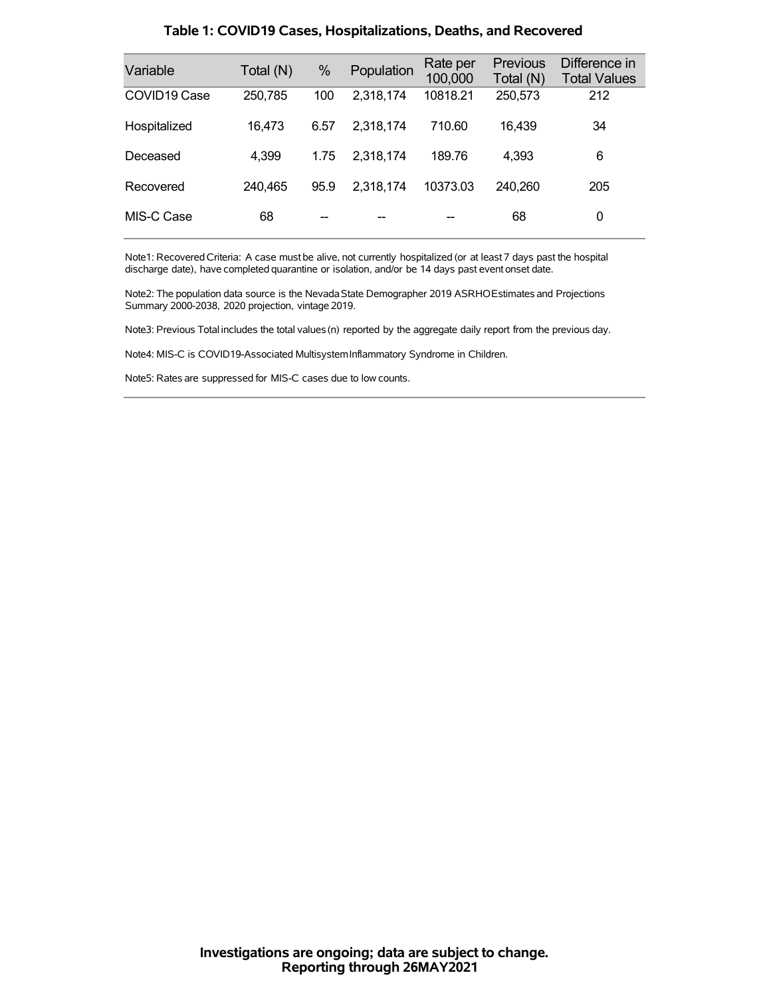| Variable     | Total (N) | %    | Population | Rate per<br>100,000 | Previous<br>Total (N) | Difference in<br><b>Total Values</b> |
|--------------|-----------|------|------------|---------------------|-----------------------|--------------------------------------|
| COVID19 Case | 250,785   | 100  | 2,318,174  | 10818.21            | 250,573               | 212                                  |
| Hospitalized | 16,473    | 6.57 | 2,318,174  | 710.60              | 16,439                | 34                                   |
| Deceased     | 4,399     | 1.75 | 2.318.174  | 189.76              | 4,393                 | 6                                    |
| Recovered    | 240,465   | 95.9 | 2,318,174  | 10373.03            | 240,260               | 205                                  |
| MIS-C Case   | 68        |      |            |                     | 68                    | 0                                    |

### **Table 1: COVID19 Cases, Hospitalizations, Deaths, and Recovered**

Note1: Recovered Criteria: A case must be alive, not currently hospitalized (or at least 7 days past the hospital discharge date), have completed quarantine or isolation, and/or be 14 days past event onset date.

Note2: The population data source is the Nevada State Demographer 2019 ASRHOEstimates and Projections Summary 2000-2038, 2020 projection, vintage 2019.

Note3: Previous Total includes the total values(n) reported by the aggregate daily report from the previous day.

Note4: MIS-C is COVID19-Associated MultisystemInflammatory Syndrome in Children.

Note5: Rates are suppressed for MIS-C cases due to low counts.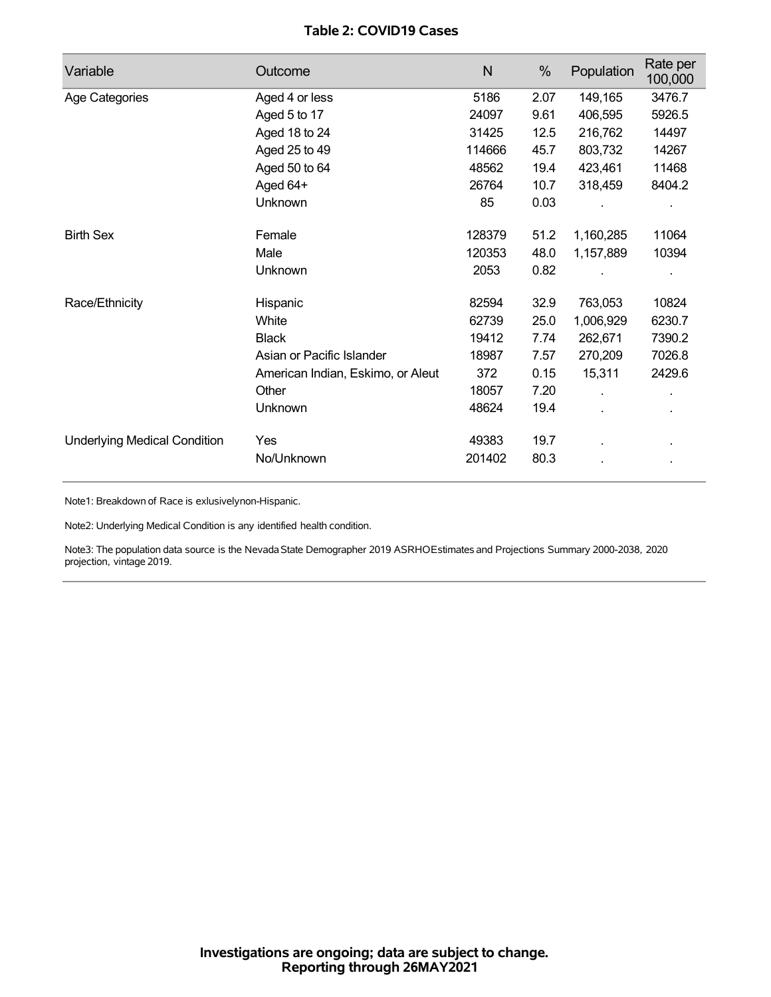## **Table 2: COVID19 Cases**

| Variable                            | Outcome                           | $\mathsf{N}$ | %    | Population | Rate per<br>100,000 |
|-------------------------------------|-----------------------------------|--------------|------|------------|---------------------|
| Age Categories                      | Aged 4 or less                    | 5186         | 2.07 | 149,165    | 3476.7              |
|                                     | Aged 5 to 17                      | 24097        | 9.61 | 406,595    | 5926.5              |
|                                     | Aged 18 to 24                     | 31425        | 12.5 | 216,762    | 14497               |
|                                     | Aged 25 to 49                     | 114666       | 45.7 | 803,732    | 14267               |
|                                     | Aged 50 to 64                     | 48562        | 19.4 | 423,461    | 11468               |
|                                     | Aged 64+                          | 26764        | 10.7 | 318,459    | 8404.2              |
|                                     | Unknown                           | 85           | 0.03 |            |                     |
| <b>Birth Sex</b>                    | Female                            | 128379       | 51.2 | 1,160,285  | 11064               |
|                                     | Male                              | 120353       | 48.0 | 1,157,889  | 10394               |
|                                     | Unknown                           | 2053         | 0.82 |            |                     |
| Race/Ethnicity                      | Hispanic                          | 82594        | 32.9 | 763,053    | 10824               |
|                                     | White                             | 62739        | 25.0 | 1,006,929  | 6230.7              |
|                                     | <b>Black</b>                      | 19412        | 7.74 | 262,671    | 7390.2              |
|                                     | Asian or Pacific Islander         | 18987        | 7.57 | 270,209    | 7026.8              |
|                                     | American Indian, Eskimo, or Aleut | 372          | 0.15 | 15,311     | 2429.6              |
|                                     | Other                             | 18057        | 7.20 | ä,         | ä.                  |
|                                     | Unknown                           | 48624        | 19.4 |            |                     |
| <b>Underlying Medical Condition</b> | Yes                               | 49383        | 19.7 |            |                     |
|                                     | No/Unknown                        | 201402       | 80.3 |            |                     |

Note1: Breakdown of Race is exlusivelynon-Hispanic.

Note2: Underlying Medical Condition is any identified health condition.

Note3: The population data source is the NevadaState Demographer 2019 ASRHOEstimates and Projections Summary 2000-2038, 2020 projection, vintage 2019.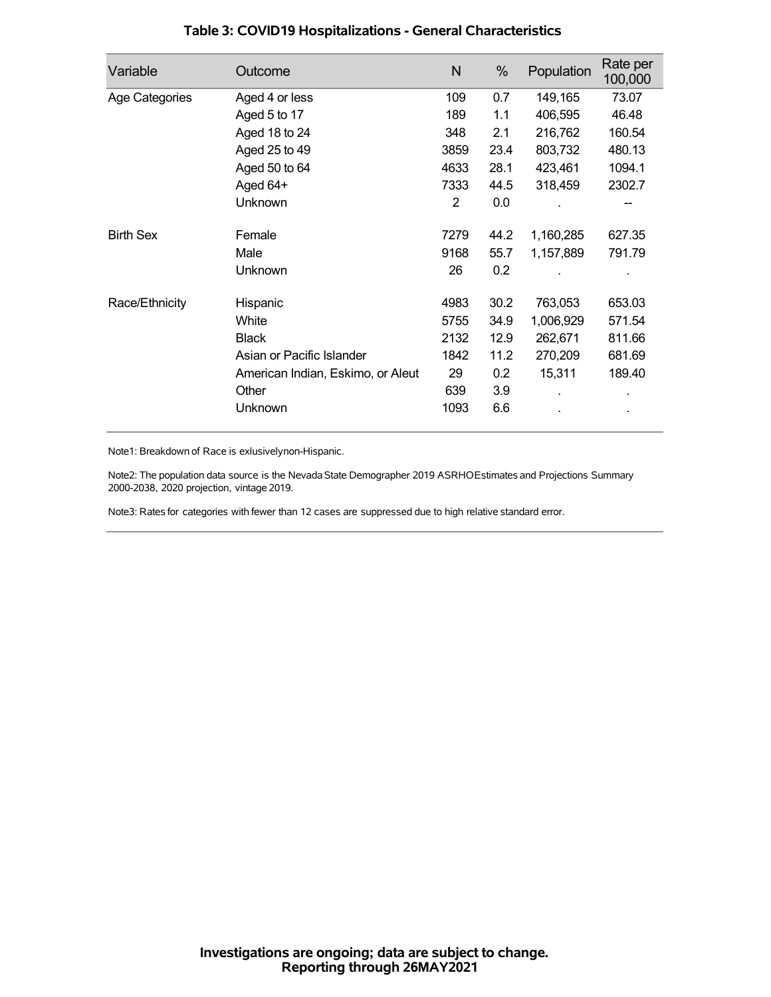| Variable         | Outcome                           | N    | %    | Population | Rate per<br>100,000 |
|------------------|-----------------------------------|------|------|------------|---------------------|
| Age Categories   | Aged 4 or less                    | 109  | 0.7  | 149,165    | 73.07               |
|                  | Aged 5 to 17                      | 189  | 1.1  | 406,595    | 46.48               |
|                  | Aged 18 to 24                     | 348  | 2.1  | 216,762    | 160.54              |
|                  | Aged 25 to 49                     | 3859 | 23.4 | 803,732    | 480.13              |
|                  | Aged 50 to 64                     | 4633 | 28.1 | 423,461    | 1094.1              |
|                  | Aged 64+                          | 7333 | 44.5 | 318,459    | 2302.7              |
|                  | Unknown                           | 2    | 0.0  |            |                     |
| <b>Birth Sex</b> | Female                            | 7279 | 44.2 | 1,160,285  | 627.35              |
|                  | Male                              | 9168 | 55.7 | 1,157,889  | 791.79              |
|                  | <b>Unknown</b>                    | 26   | 0.2  |            |                     |
| Race/Ethnicity   | Hispanic                          | 4983 | 30.2 | 763,053    | 653.03              |
|                  | White                             | 5755 | 34.9 | 1,006,929  | 571.54              |
|                  | <b>Black</b>                      | 2132 | 12.9 | 262,671    | 811.66              |
|                  | Asian or Pacific Islander         | 1842 | 11.2 | 270,209    | 681.69              |
|                  | American Indian, Eskimo, or Aleut | 29   | 0.2  | 15,311     | 189.40              |
|                  | Other                             | 639  | 3.9  |            |                     |
|                  | Unknown                           | 1093 | 6.6  |            |                     |

## **Table 3: COVID19 Hospitalizations - General Characteristics**

Note1: Breakdown of Race is exlusivelynon-Hispanic.

Note2: The population data source is the Nevada State Demographer 2019 ASRHOEstimates and Projections Summary 2000-2038, 2020 projection, vintage 2019.

Note3: Rates for categories with fewer than 12 cases are suppressed due to high relative standard error.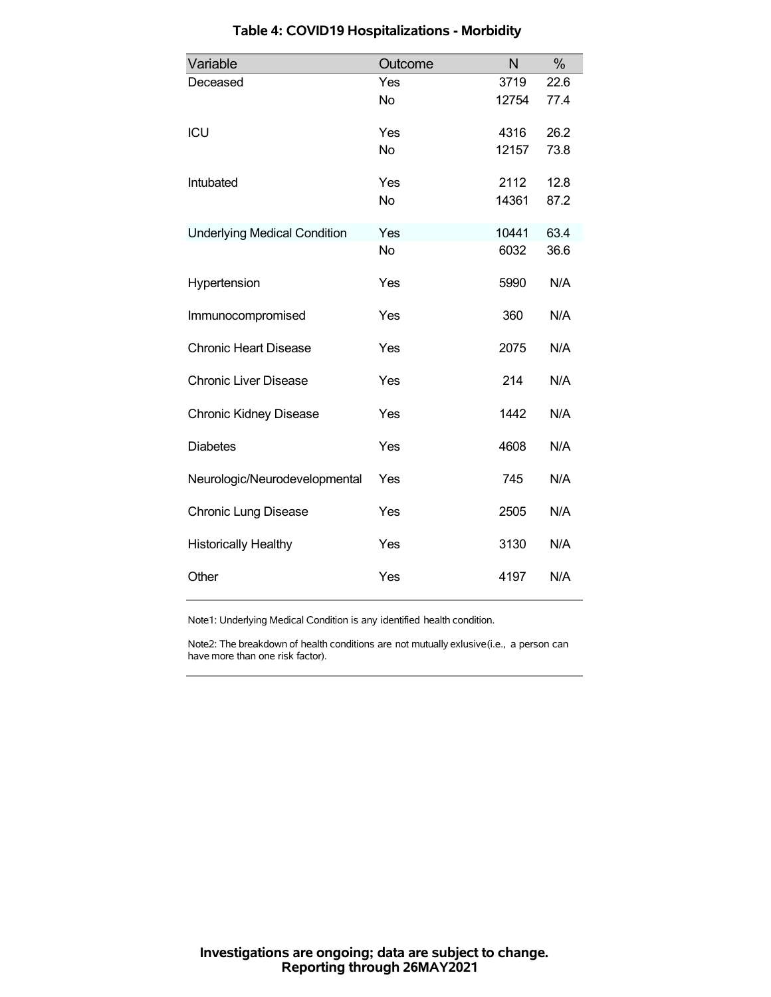| Variable                            | Outcome   | N     | %    |
|-------------------------------------|-----------|-------|------|
| Deceased                            | Yes       | 3719  | 22.6 |
|                                     | <b>No</b> | 12754 | 77.4 |
| ICU                                 | Yes       | 4316  | 26.2 |
|                                     | <b>No</b> | 12157 | 73.8 |
| Intubated                           | Yes       | 2112  | 12.8 |
|                                     | <b>No</b> | 14361 | 87.2 |
| <b>Underlying Medical Condition</b> | Yes       | 10441 | 63.4 |
|                                     | <b>No</b> | 6032  | 36.6 |
| Hypertension                        | Yes       | 5990  | N/A  |
| Immunocompromised                   | Yes       | 360   | N/A  |
| <b>Chronic Heart Disease</b>        | Yes       | 2075  | N/A  |
| <b>Chronic Liver Disease</b>        | Yes       | 214   | N/A  |
| <b>Chronic Kidney Disease</b>       | Yes       | 1442  | N/A  |
| <b>Diabetes</b>                     | Yes       | 4608  | N/A  |
| Neurologic/Neurodevelopmental       | Yes       | 745   | N/A  |
| <b>Chronic Lung Disease</b>         | Yes       | 2505  | N/A  |
| <b>Historically Healthy</b>         | Yes       | 3130  | N/A  |
| Other                               | Yes       | 4197  | N/A  |

# **Table 4: COVID19 Hospitalizations - Morbidity**

Note1: Underlying Medical Condition is any identified health condition.

Note2: The breakdown of health conditions are not mutually exlusive(i.e., a person can have more than one risk factor).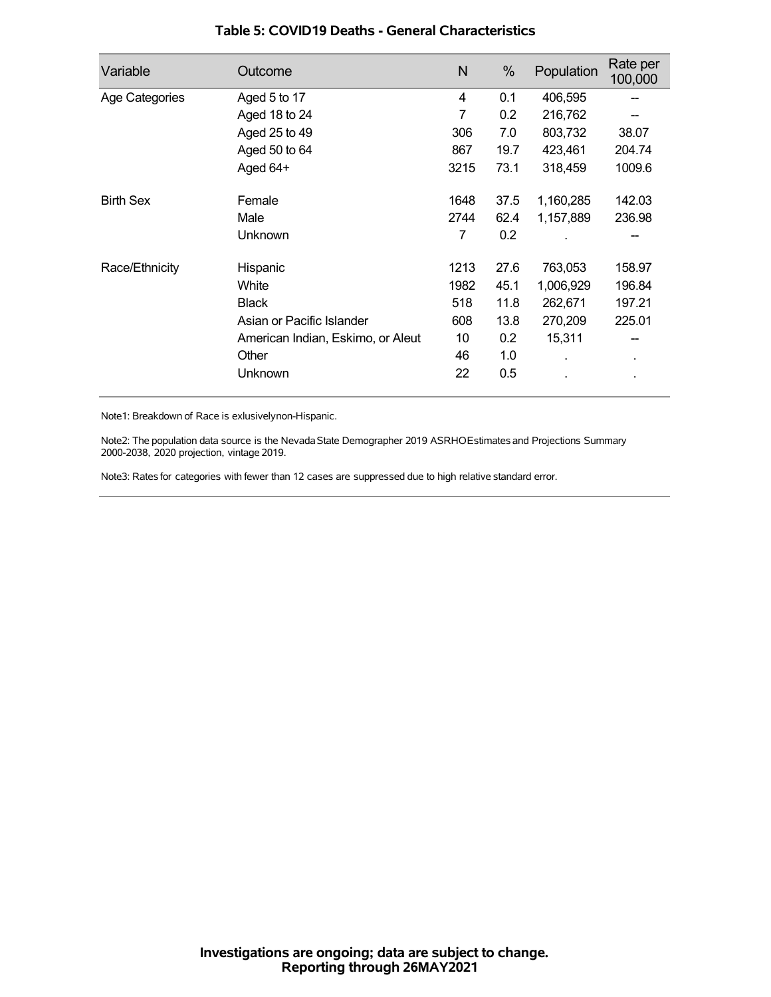| Variable         | Outcome                           | N    | %    | Population | Rate per<br>100,000 |
|------------------|-----------------------------------|------|------|------------|---------------------|
| Age Categories   | Aged 5 to 17                      | 4    | 0.1  | 406,595    |                     |
|                  | Aged 18 to 24                     | 7    | 0.2  | 216,762    |                     |
|                  | Aged 25 to 49                     | 306  | 7.0  | 803,732    | 38.07               |
|                  | Aged 50 to 64                     | 867  | 19.7 | 423,461    | 204.74              |
|                  | Aged 64+                          | 3215 | 73.1 | 318,459    | 1009.6              |
| <b>Birth Sex</b> | Female                            | 1648 | 37.5 | 1,160,285  | 142.03              |
|                  | Male                              | 2744 | 62.4 | 1,157,889  | 236.98              |
|                  | Unknown                           | 7    | 0.2  |            |                     |
| Race/Ethnicity   | Hispanic                          | 1213 | 27.6 | 763,053    | 158.97              |
|                  | White                             | 1982 | 45.1 | 1,006,929  | 196.84              |
|                  | <b>Black</b>                      | 518  | 11.8 | 262,671    | 197.21              |
|                  | Asian or Pacific Islander         | 608  | 13.8 | 270,209    | 225.01              |
|                  | American Indian, Eskimo, or Aleut | 10   | 0.2  | 15,311     |                     |
|                  | Other                             | 46   | 1.0  |            | $\blacksquare$      |
|                  | Unknown                           | 22   | 0.5  |            |                     |

### **Table 5: COVID19 Deaths - General Characteristics**

Note1: Breakdown of Race is exlusivelynon-Hispanic.

Note2: The population data source is the Nevada State Demographer 2019 ASRHOEstimates and Projections Summary 2000-2038, 2020 projection, vintage 2019.

Note3: Rates for categories with fewer than 12 cases are suppressed due to high relative standard error.